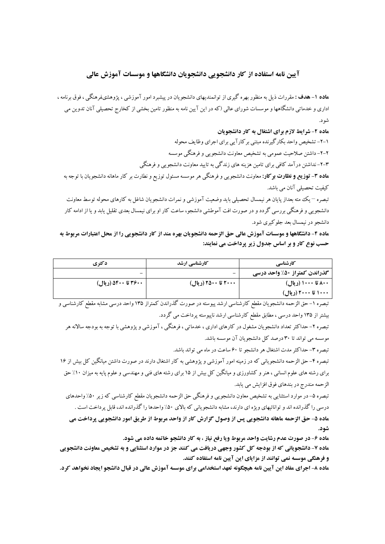## آیین نامه استفاده از کار دانشجویی دانشجویان دانشگاهها و موسسات آموزش عالی

**ماده ۱–هدف :** مقررات ذیل به منظور بهره گیری از توانمندیهای دانشجویان در پیشبرد امور آموزشی ، پژوهشیفرهنگی ، فوق برنامه ، اداری و خدماتی دانشگاهها و موسسات شورای عالی (که در این آیین نامه به منظور تامین بخشی از کخارج تحصیلی آنان تدوین می شو د.

ماده ۲- شرایط لازم برای اشتغال به کار دانشجویان

۱-۲- تشخیص واحد بکارگیرنده مبتنی بر کار آیی برای اجرای وظایف محوله ۲-۲- داشتن صلاحیت عمومی به تشخیص معاونت دانشجویی و فرهنگی موسسه ۳–۲–نداشتن در آمد کافی برای تامین هزینه های زندگی به تایید معاونت دانشجویی و فرهنگی **ماده ۳- توزیع و نظارت برکار:** معاونت دانشجویی و فرهنگی هر موسسه مسئول توزیع و نطارت بر کار ماهانه دانشجویان با توجه به كىفىت تحصىلى آنان مى باشد.

تبصره – یک مته بعداز پایان هر نیمسال تحصیلی باید وضعیت آموزشی و نمرات دانشجویان شاغل به کارهای محوله توسط معاونت دانشجویی و فرهنگی بررسی گردد و در صورت افت آموطشی دانشجو، ساعت کار او برای نیمسال بعدی تقلیل یابد و یا از ادامه کار دانشجو در نیمسال بعد جلوکیری شود.

ماده ۴- دانشگاهها و موسسات آموزش عالی حق الزحمه دانشجویان بهره مند از کار دانشجویی را از محل اعتبارات مربوط به حسب نوع کار و بر اساس جدول زیر پرداخت می نمایند:

| دکتری               | کارشناسی ارشد       | <b>کارشناسی</b>              |
|---------------------|---------------------|------------------------------|
| -                   | -                   | گذراندن کمتراز ۵۰٪ واحد درسی |
| ۴۶۰۰ تا ۵۴۰۰ (ریال) | ۲۰۰۰ تا ۲۵۰۰ (ریال) | ۸۰۰ تا ۱۰۰۰ (ریال)           |
|                     |                     | ۱۰۰۰ تا ۲۰۰۰ (ریال)          |

تبصره ١-حق الزحمه دانشجويان مقطع كارشناسي ارشد پيوسته در صورت گذراندن كمتراز ١٣۵ واحد درسي مشابه مقطع كارشناسي و بیشتر از ۱۳۵ واحد درسی ، مطابق مقطع کارشناسی ارشد ناپیوسته پرداخت می گردد.

تبصره ۲– حداکثر تعداد دانشجویان مشغول در کارهای اداری ، خدماتبی ، فرهنگبی ، آموزشبی و پژوهشبی با توجه به بودجه سالانه هر موسسه می تواند تا ۳۰ درصد کل دانشجویان آن موسسه باشد.

تبصره ٣- حداكثر مدت اشتغال هر دانشجو تا ۶۰ ساعت در ماه می تواند باشد.

تبصره ۴– حق الزحمه دانشجویانی که در زمینه امور آموزشی و پژوهشی به کار اشتغال دارند در صورت داشتن میانگین کل بیش از ۱۶ برای رشته های علوم انسانی ، هنر و کشاورزی و میانگین کل بیش از ۱۵ برای رشته های فنی و مهندسی و علوم پایه به میزان ۱۰٪ حق الزحمه مندرج در بندهاي فوق افزايش مي يابد.

تبصره ۵– در موارد استثنایی به تشخیص معاون دانشجویی و فرهنگی حق الزحمه دانشجویان مقطع کارشناسی که زیر ۵۰٪ واحدهای درسی را گذرانده اند و توانائیهای ویژه ای دارند، مشابه دانشجویانی که بالای ۵۰٪ واحدها را گذرانده اند، قابل پرداخت است .

ماده ۵- حق الزحمه ماهانه دانشجويي پس از وصول گزارش کار از واحد مربوط از طريق امور دانشجويي پرداخت مي شەد.

**ماده ۶- در صورت عدم رشایت واحد مربوط ویا رفع نیاز ، به کار دانشجو خاتمه داده می شود.** 

**ماده ۷- دانشجویانی که از بودجه کل کشور وجهی دریافت می کنند جز در موارد استثنایی و به تشخیص معاونت دانشجویی** و فرهنگی موسسه نمی توانند از مزایای این آیین نامه استفاده کنند.

**ماده ۸- اجرای مفاد این آیین نامه هیچگونه تعهد استخدامی برای موسسه آموزش عالی در قبال دانشجو ایجاد نخواهد کرد.**